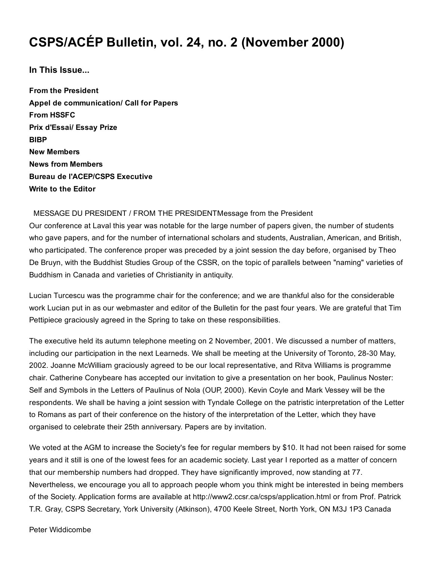# CSPS/ACÉP Bulletin, vol. 24, no. 2 (November 2000)

In This Issue...

From the President Appel de communication/ Call for Papers From HSSFC Prix d'Essai/ Essay Prize **BIBP** New Members News from Members Bureau de l'ACEP/CSPS Executive Write to the Editor

#### MESSAGE DU PRESIDENT / FROM THE PRESIDENTMessage from the President

Our conference at Laval this year was notable for the large number of papers given, the number of students who gave papers, and for the number of international scholars and students, Australian, American, and British, who participated. The conference proper was preceded by a joint session the day before, organised by Theo De Bruyn, with the Buddhist Studies Group of the CSSR, on the topic of parallels between "naming" varieties of Buddhism in Canada and varieties of Christianity in antiquity.

Lucian Turcescu was the programme chair for the conference; and we are thankful also for the considerable work Lucian put in as our webmaster and editor of the Bulletin for the past four years. We are grateful that Tim Pettipiece graciously agreed in the Spring to take on these responsibilities.

The executive held its autumn telephone meeting on 2 November, 2001. We discussed a number of matters, including our participation in the next Learneds. We shall be meeting at the University of Toronto, 28-30 May, 2002. Joanne McWilliam graciously agreed to be our local representative, and Ritva Williams is programme chair. Catherine Conybeare has accepted our invitation to give a presentation on her book, Paulinus Noster: Self and Symbols in the Letters of Paulinus of Nola (OUP, 2000). Kevin Coyle and Mark Vessey will be the respondents. We shall be having a joint session with Tyndale College on the patristic interpretation of the Letter to Romans as part of their conference on the history of the interpretation of the Letter, which they have organised to celebrate their 25th anniversary. Papers are by invitation.

We voted at the AGM to increase the Society's fee for regular members by \$10. It had not been raised for some years and it still is one of the lowest fees for an academic society. Last year I reported as a matter of concern that our membership numbers had dropped. They have significantly improved, now standing at 77. Nevertheless, we encourage you all to approach people whom you think might be interested in being members of the Society. Application forms are available at http://www2.ccsr.ca/csps/application.html or from Prof. Patrick T.R. Gray, CSPS Secretary, York University (Atkinson), 4700 Keele Street, North York, ON M3J 1P3 Canada

Peter Widdicombe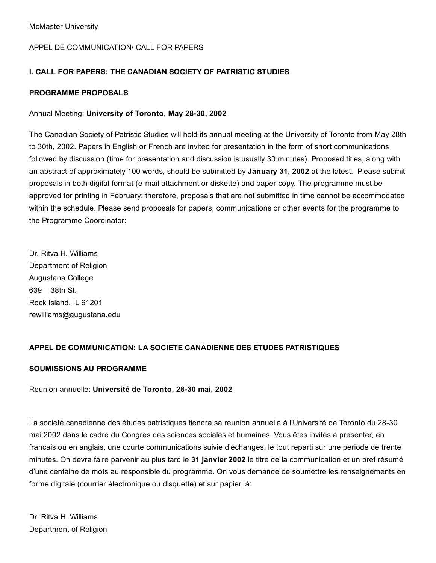#### APPEL DE COMMUNICATION/ CALL FOR PAPERS

#### I. CALL FOR PAPERS: THE CANADIAN SOCIETY OF PATRISTIC STUDIES

#### PROGRAMME PROPOSALS

#### Annual Meeting: University of Toronto, May 28-30, 2002

The Canadian Society of Patristic Studies will hold its annual meeting at the University of Toronto from May 28th to 30th, 2002. Papers in English or French are invited for presentation in the form of short communications followed by discussion (time for presentation and discussion is usually 30 minutes). Proposed titles, along with an abstract of approximately 100 words, should be submitted by January 31, 2002 at the latest. Please submit proposals in both digital format (e-mail attachment or diskette) and paper copy. The programme must be approved for printing in February; therefore, proposals that are not submitted in time cannot be accommodated within the schedule. Please send proposals for papers, communications or other events for the programme to the Programme Coordinator:

Dr. Ritva H. Williams Department of Religion Augustana College 639 – 38th St. Rock Island, IL 61201 rewilliams@augustana.edu

#### APPEL DE COMMUNICATION: LA SOCIETE CANADIENNE DES ETUDES PATRISTIQUES

#### SOUMISSIONS AU PROGRAMME

#### Reunion annuelle: Université de Toronto, 28-30 mai, 2002

La societé canadienne des études patristiques tiendra sa reunion annuelle à l'Université de Toronto du 28-30 mai 2002 dans le cadre du Congres des sciences sociales et humaines. Vous êtes invités à presenter, en francais ou en anglais, une courte communications suivie d'échanges, le tout reparti sur une periode de trente minutes. On devra faire parvenir au plus tard le 31 janvier 2002 le titre de la communication et un bref résumé d'une centaine de mots au responsible du programme. On vous demande de soumettre les renseignements en forme digitale (courrier électronique ou disquette) et sur papier, à: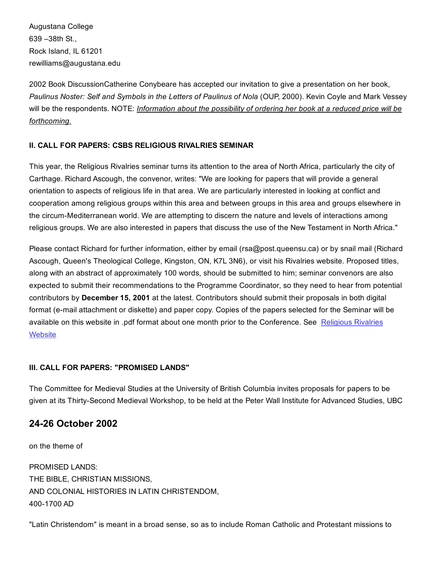Augustana College 639 –38th St., Rock Island, IL 61201 rewilliams@augustana.edu

2002 Book DiscussionCatherine Conybeare has accepted our invitation to give a presentation on her book, *Paulinus Noster: Self and Symbols in the Letters of Paulinus of Nola* (OUP, 2000). Kevin Coyle and Mark Vessey will be the respondents. NOTE: *Information about the possibility of ordering her book at a reduced price will be forthcoming.*

#### II. CALL FOR PAPERS: CSBS RELIGIOUS RIVALRIES SEMINAR

This year, the Religious Rivalries seminar turns its attention to the area of North Africa, particularly the city of Carthage. Richard Ascough, the convenor, writes: "We are looking for papers that will provide a general orientation to aspects of religious life in that area. We are particularly interested in looking at conflict and cooperation among religious groups within this area and between groups in this area and groups elsewhere in the circum-Mediterranean world. We are attempting to discern the nature and levels of interactions among religious groups. We are also interested in papers that discuss the use of the New Testament in North Africa."

Please contact Richard for further information, either by email (rsa@post.queensu.ca) or by snail mail (Richard Ascough, Queen's Theological College, Kingston, ON, K7L 3N6), or visit his Rivalries website. Proposed titles, along with an abstract of approximately 100 words, should be submitted to him; seminar convenors are also expected to submit their recommendations to the Programme Coordinator, so they need to hear from potential contributors by December 15, 2001 at the latest. Contributors should submit their proposals in both digital format (e-mail attachment or diskette) and paper copy. Copies of the papers selected for the Seminar will be available on this website in .pdf format about one month prior to the [Conference.](http://web.archive.org/web/20150201000941/http://post.queensu.ca/~rsa/Rivalries/Religious_Rivalries.html) See Religious Rivalries **Website** 

#### III. CALL FOR PAPERS: "PROMISED LANDS"

The Committee for Medieval Studies at the University of British Columbia invites proposals for papers to be given at its Thirty-Second Medieval Workshop, to be held at the Peter Wall Institute for Advanced Studies, UBC

### 2426 October 2002

on the theme of PROMISED LANDS: THE BIBLE, CHRISTIAN MISSIONS, AND COLONIAL HISTORIES IN LATIN CHRISTENDOM, 400-1700 AD

"Latin Christendom" is meant in a broad sense, so as to include Roman Catholic and Protestant missions to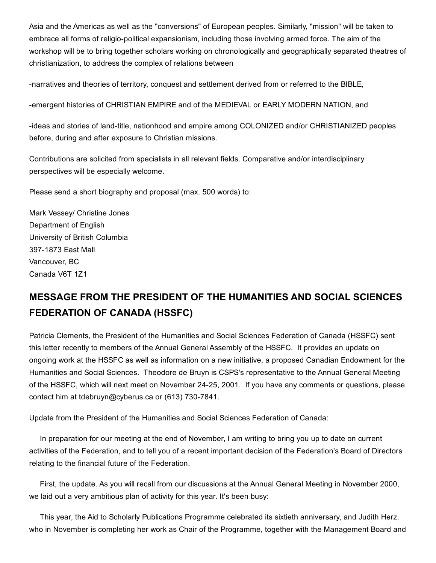Asia and the Americas as well as the "conversions" of European peoples. Similarly, "mission" will be taken to embrace all forms of religio-political expansionism, including those involving armed force. The aim of the workshop will be to bring together scholars working on chronologically and geographically separated theatres of christianization, to address the complex of relations between

narratives and theories of territory, conquest and settlement derived from or referred to the BIBLE,

emergent histories of CHRISTIAN EMPIRE and of the MEDIEVAL or EARLY MODERN NATION, and

-ideas and stories of land-title, nationhood and empire among COLONIZED and/or CHRISTIANIZED peoples before, during and after exposure to Christian missions.

Contributions are solicited from specialists in all relevant fields. Comparative and/or interdisciplinary perspectives will be especially welcome.

Please send a short biography and proposal (max. 500 words) to:

Mark Vessey/ Christine Jones Department of English University of British Columbia 397-1873 East Mall Vancouver, BC Canada V6T 1Z1

## MESSAGE FROM THE PRESIDENT OF THE HUMANITIES AND SOCIAL SCIENCES FEDERATION OF CANADA (HSSFC)

Patricia Clements, the President of the Humanities and Social Sciences Federation of Canada (HSSFC) sent this letter recently to members of the Annual General Assembly of the HSSFC. It provides an update on ongoing work at the HSSFC as well as information on a new initiative, a proposed Canadian Endowment for the Humanities and Social Sciences. Theodore de Bruyn is CSPS's representative to the Annual General Meeting of the HSSFC, which will next meet on November 24-25, 2001. If you have any comments or questions, please contact him at tdebruyn@cyberus.ca or (613) 730-7841.

Update from the President of the Humanities and Social Sciences Federation of Canada:

In preparation for our meeting at the end of November, I am writing to bring you up to date on current activities of the Federation, and to tell you of a recent important decision of the Federation's Board of Directors relating to the financial future of the Federation.

First, the update. As you will recall from our discussions at the Annual General Meeting in November 2000, we laid out a very ambitious plan of activity for this year. It's been busy:

This year, the Aid to Scholarly Publications Programme celebrated its sixtieth anniversary, and Judith Herz, who in November is completing her work as Chair of the Programme, together with the Management Board and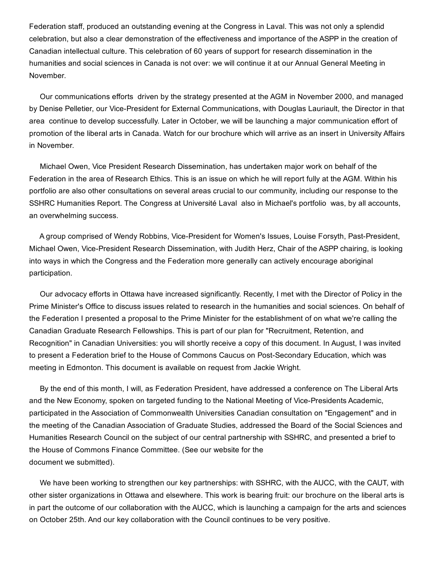Federation staff, produced an outstanding evening at the Congress in Laval. This was not only a splendid celebration, but also a clear demonstration of the effectiveness and importance of the ASPP in the creation of Canadian intellectual culture. This celebration of 60 years of support for research dissemination in the humanities and social sciences in Canada is not over: we will continue it at our Annual General Meeting in November.

Our communications efforts driven by the strategy presented at the AGM in November 2000, and managed by Denise Pelletier, our Vice-President for External Communications, with Douglas Lauriault, the Director in that area continue to develop successfully. Later in October, we will be launching a major communication effort of promotion of the liberal arts in Canada. Watch for our brochure which will arrive as an insert in University Affairs in November.

Michael Owen, Vice President Research Dissemination, has undertaken major work on behalf of the Federation in the area of Research Ethics. This is an issue on which he will report fully at the AGM. Within his portfolio are also other consultations on several areas crucial to our community, including our response to the SSHRC Humanities Report. The Congress at Université Laval also in Michael's portfolio was, by all accounts, an overwhelming success.

A group comprised of Wendy Robbins, Vice-President for Women's Issues, Louise Forsyth, Past-President, Michael Owen, Vice-President Research Dissemination, with Judith Herz, Chair of the ASPP chairing, is looking into ways in which the Congress and the Federation more generally can actively encourage aboriginal participation.

Our advocacy efforts in Ottawa have increased significantly. Recently, I met with the Director of Policy in the Prime Minister's Office to discuss issues related to research in the humanities and social sciences. On behalf of the Federation I presented a proposal to the Prime Minister for the establishment of on what we're calling the Canadian Graduate Research Fellowships. This is part of our plan for "Recruitment, Retention, and Recognition" in Canadian Universities: you will shortly receive a copy of this document. In August, I was invited to present a Federation brief to the House of Commons Caucus on Post-Secondary Education, which was meeting in Edmonton. This document is available on request from Jackie Wright.

By the end of this month, I will, as Federation President, have addressed a conference on The Liberal Arts and the New Economy, spoken on targeted funding to the National Meeting of Vice-Presidents Academic, participated in the Association of Commonwealth Universities Canadian consultation on "Engagement" and in the meeting of the Canadian Association of Graduate Studies, addressed the Board of the Social Sciences and Humanities Research Council on the subject of our central partnership with SSHRC, and presented a brief to the House of Commons Finance Committee. (See our website for the document we submitted).

We have been working to strengthen our key partnerships: with SSHRC, with the AUCC, with the CAUT, with other sister organizations in Ottawa and elsewhere. This work is bearing fruit: our brochure on the liberal arts is in part the outcome of our collaboration with the AUCC, which is launching a campaign for the arts and sciences on October 25th. And our key collaboration with the Council continues to be very positive.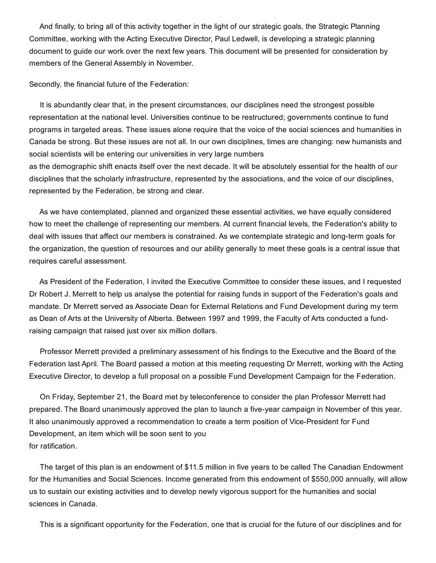And finally, to bring all of this activity together in the light of our strategic goals, the Strategic Planning Committee, working with the Acting Executive Director, Paul Ledwell, is developing a strategic planning document to guide our work over the next few years. This document will be presented for consideration by members of the General Assembly in November.

Secondly, the financial future of the Federation:

It is abundantly clear that, in the present circumstances, our disciplines need the strongest possible representation at the national level. Universities continue to be restructured; governments continue to fund programs in targeted areas. These issues alone require that the voice of the social sciences and humanities in Canada be strong. But these issues are not all. In our own disciplines, times are changing: new humanists and social scientists will be entering our universities in very large numbers as the demographic shift enacts itself over the next decade. It will be absolutely essential for the health of our disciplines that the scholarly infrastructure, represented by the associations, and the voice of our disciplines,

represented by the Federation, be strong and clear.

As we have contemplated, planned and organized these essential activities, we have equally considered how to meet the challenge of representing our members. At current financial levels, the Federation's ability to deal with issues that affect our members is constrained. As we contemplate strategic and long-term goals for the organization, the question of resources and our ability generally to meet these goals is a central issue that requires careful assessment.

As President of the Federation, I invited the Executive Committee to consider these issues, and I requested Dr Robert J. Merrett to help us analyse the potential for raising funds in support of the Federation's goals and mandate. Dr Merrett served as Associate Dean for External Relations and Fund Development during my term as Dean of Arts at the University of Alberta. Between 1997 and 1999, the Faculty of Arts conducted a fundraising campaign that raised just over six million dollars.

Professor Merrett provided a preliminary assessment of his findings to the Executive and the Board of the Federation last April. The Board passed a motion at this meeting requesting Dr Merrett, working with the Acting Executive Director, to develop a full proposal on a possible Fund Development Campaign for the Federation.

On Friday, September 21, the Board met by teleconference to consider the plan Professor Merrett had prepared. The Board unanimously approved the plan to launch a five-year campaign in November of this year. It also unanimously approved a recommendation to create a term position of Vice-President for Fund Development, an item which will be soon sent to you for ratification.

The target of this plan is an endowment of \$11.5 million in five years to be called The Canadian Endowment for the Humanities and Social Sciences. Income generated from this endowment of \$550,000 annually, will allow us to sustain our existing activities and to develop newly vigorous support for the humanities and social sciences in Canada.

This is a significant opportunity for the Federation, one that is crucial for the future of our disciplines and for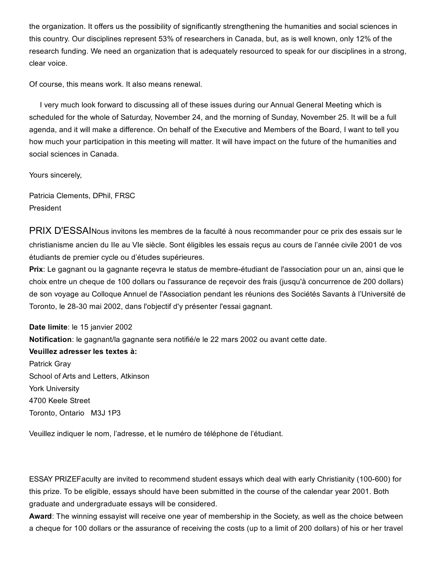the organization. It offers us the possibility of significantly strengthening the humanities and social sciences in this country. Our disciplines represent 53% of researchers in Canada, but, as is well known, only 12% of the research funding. We need an organization that is adequately resourced to speak for our disciplines in a strong, clear voice.

Of course, this means work. It also means renewal.

I very much look forward to discussing all of these issues during our Annual General Meeting which is scheduled for the whole of Saturday, November 24, and the morning of Sunday, November 25. It will be a full agenda, and it will make a difference. On behalf of the Executive and Members of the Board, I want to tell you how much your participation in this meeting will matter. It will have impact on the future of the humanities and social sciences in Canada.

Yours sincerely,

Patricia Clements, DPhil, FRSC President

PRIX D'ESSAINous invitons les membres de la faculté à nous recommander pour ce prix des essais sur le christianisme ancien du IIe au VIe siècle. Sont éligibles les essais reçus au cours de l'année civile 2001 de vos étudiants de premier cycle ou d'études supérieures.

Prix: Le gagnant ou la gagnante recevra le status de membre-étudiant de l'association pour un an, ainsi que le choix entre un cheque de 100 dollars ou l'assurance de reçevoir des frais (jusqu'à concurrence de 200 dollars) de son voyage au Colloque Annuel de l'Association pendant les réunions des Sociétés Savants à l'Université de Toronto, le 28-30 mai 2002, dans l'objectif d'y présenter l'essai gagnant.

Date limite: le 15 janvier 2002 Notification: le gagnant/la gagnante sera notifié/e le 22 mars 2002 ou avant cette date.

#### Veuillez adresser les textes à:

Patrick Gray School of Arts and Letters, Atkinson York University 4700 Keele Street Toronto, Ontario M3J 1P3

Veuillez indiquer le nom, l'adresse, et le numéro de téléphone de l'étudiant.

ESSAY PRIZEFaculty are invited to recommend student essays which deal with early Christianity (100600) for this prize. To be eligible, essays should have been submitted in the course of the calendar year 2001. Both graduate and undergraduate essays will be considered.

Award: The winning essayist will receive one year of membership in the Society, as well as the choice between a cheque for 100 dollars or the assurance of receiving the costs (up to a limit of 200 dollars) of his or her travel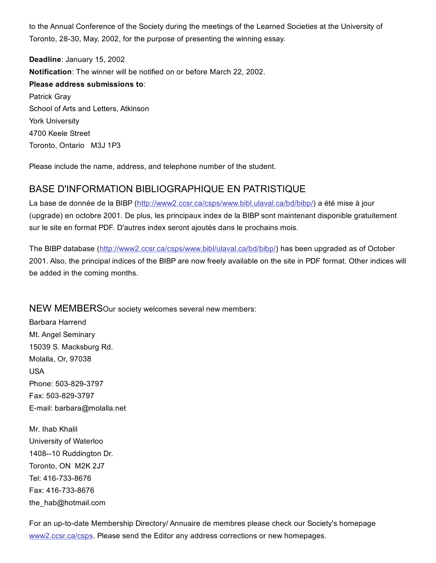to the Annual Conference of the Society during the meetings of the Learned Societies at the University of Toronto, 28-30, May, 2002, for the purpose of presenting the winning essay.

Deadline: January 15, 2002 Notification: The winner will be notified on or before March 22, 2002. Please address submissions to: Patrick Gray School of Arts and Letters, Atkinson York University 4700 Keele Street Toronto, Ontario M3J 1P3

Please include the name, address, and telephone number of the student.

## BASE D'INFORMATION BIBLIOGRAPHIQUE EN PATRISTIQUE

La base de donnée de la BIBP ([http://www2.ccsr.ca/csps/www.bibl.ulaval.ca/bd/bibp/\)](http://web.archive.org/web/20150201000941/http://www2.ccsr.ca/csps/www.bibl.ulaval.ca/bd/bibp/) a été mise à jour (upgrade) en octobre 2001. De plus, les principaux index de la BIBP sont maintenant disponible gratuitement sur le site en format PDF. D'autres index seront ajoutés dans le prochains mois.

The BIBP database ([http://www2.ccsr.ca/csps/www.bibl/ulaval.ca/bd/bibp/](http://web.archive.org/web/20150201000941/http://www2.ccsr.ca/csps/www.bibl/ulaval.ca/bd/bibp/)) has been upgraded as of October 2001. Also, the principal indices of the BIBP are now freely available on the site in PDF format. Other indices will be added in the coming months.

NEW MEMBERSOur society welcomes several new members:

Barbara Harrend Mt. Angel Seminary 15039 S. Macksburg Rd. Molalla, Or, 97038 USA Phone: 503-829-3797 Fax: 503-829-3797 Email: barbara@molalla.net

Mr. Ihab Khalil University of Waterloo 1408--10 Ruddington Dr. Toronto, ON M2K 2J7 Tel: 416-733-8676 Fax: 416-733-8676 the\_hab@hotmail.com

For an up-to-date Membership Directory/ Annuaire de membres please check our Society's homepage [www2.ccsr.ca/csps](http://web.archive.org/web/20150201000941/http://www2.ccsr.ca/csps). Please send the Editor any address corrections or new homepages.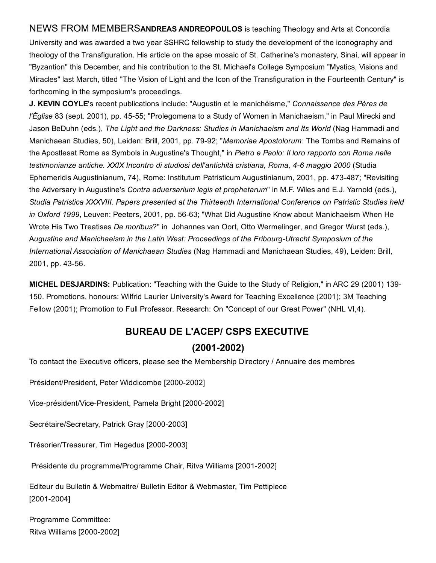NEWS FROM MEMBERSANDREAS ANDREOPOULOS is teaching Theology and Arts at Concordia University and was awarded a two year SSHRC fellowship to study the development of the iconography and theology of the Transfiguration. His article on the apse mosaic of St. Catherine's monastery, Sinai, will appear in "Byzantion" this December, and his contribution to the St. Michael's College Symposium "Mystics, Visions and Miracles" last March, titled "The Vision of Light and the Icon of the Transfiguration in the Fourteenth Century" is forthcoming in the symposium's proceedings.

J. KEVIN COYLE's recent publications include: "Augustin et le manichéisme," *Connaissance des Pères de l'Église* 83 (sept. 2001), pp. 45-55; "Prolegomena to a Study of Women in Manichaeism," in Paul Mirecki and Jason BeDuhn (eds.), *The Light and the Darkness: Studies in Manichaeism and Its World* (Nag Hammadi and Manichaean Studies, 50), Leiden: Brill, 2001, pp. 7992; "*Memoriae Apostolorum*: The Tombs and Remains of the Apostlesat Rome as Symbols in Augustine's Thought," in *Pietro e Paolo: Il loro rapporto con Roma nelle testimonianze antiche. XXIX Incontro di studiosi dell'antichità cristiana, Roma, 46 maggio 2000* (Studia Ephemeridis Augustinianum, 74), Rome: Institutum Patristicum Augustinianum, 2001, pp. 473-487; "Revisiting the Adversary in Augustine's *Contra aduersarium legis et prophetarum*" in M.F. Wiles and E.J. Yarnold (eds.), *Studia Patristica XXXVIII. Papers presented at the Thirteenth International Conference on Patristic Studies held* in Oxford 1999, Leuven: Peeters, 2001, pp. 56-63; "What Did Augustine Know about Manichaeism When He Wrote His Two Treatises *De moribus*?" in Johannes van Oort, Otto Wermelinger, and Gregor Wurst (eds.), A*ugustine and Manichaeism in the Latin West: Proceedings of the FribourgUtrecht Symposium of the International Association of Manichaean Studies* (Nag Hammadi and Manichaean Studies, 49), Leiden: Brill, 2001, pp. 43-56.

MICHEL DESJARDINS: Publication: "Teaching with the Guide to the Study of Religion," in ARC 29 (2001) 139 150. Promotions, honours: Wilfrid Laurier University's Award for Teaching Excellence (2001); 3M Teaching Fellow (2001); Promotion to Full Professor. Research: On "Concept of our Great Power" (NHL VI,4).

## BUREAU DE L'ACEP/ CSPS EXECUTIVE

### $(2001 - 2002)$

To contact the Executive officers, please see the Membership Directory / Annuaire des membres

Président/President, Peter Widdicombe [2000-2002]

Vice-président/Vice-President, Pamela Bright [2000-2002]

Secrétaire/Secretary, Patrick Gray [2000-2003]

Trésorier/Treasurer, Tim Hegedus [2000-2003]

Présidente du programme/Programme Chair, Ritva Williams [2001-2002]

Editeur du Bulletin & Webmaitre/ Bulletin Editor & Webmaster, Tim Pettipiece  $[2001 - 2004]$ 

Programme Committee: Ritva Williams [2000-2002]